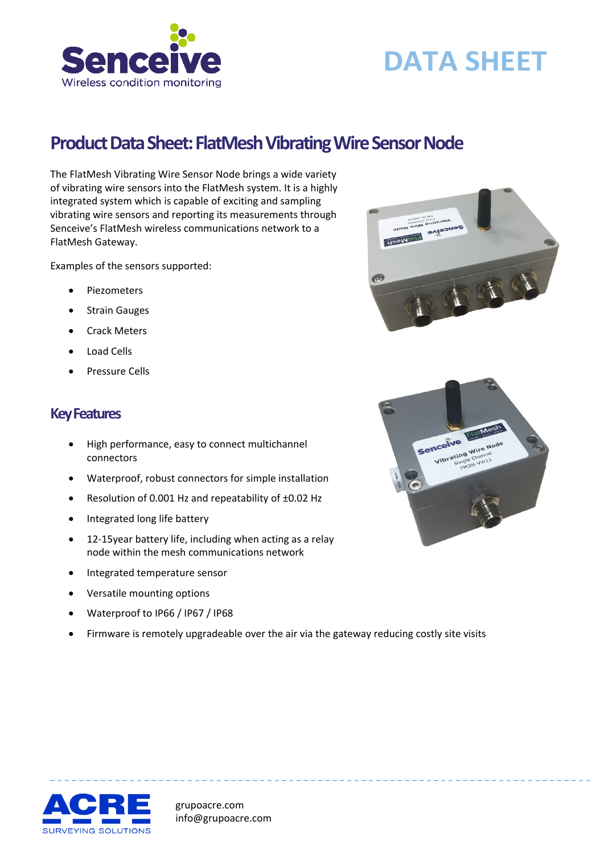

# **DATA SHEET**

## **Product Data Sheet: FlatMesh Vibrating Wire Sensor Node**

The FlatMesh Vibrating Wire Sensor Node brings a wide variety of vibrating wire sensors into the FlatMesh system. It is a highly integrated system which is capable of exciting and sampling vibrating wire sensors and reporting its measurements through Senceive's FlatMesh wireless communications network to a FlatMesh Gateway.

Examples of the sensors supported:

- Piezometers
- Strain Gauges
- Crack Meters
- Load Cells
- Pressure Cells

#### **Key Features**

- High performance, easy to connect multichannel connectors
- Waterproof, robust connectors for simple installation
- Resolution of 0.001 Hz and repeatability of ±0.02 Hz
- Integrated long life battery
- 12-15year battery life, including when acting as a relay node within the mesh communications network
- Integrated temperature sensor
- Versatile mounting options
- Waterproof to IP66 / IP67 / IP68
- Firmware is remotely upgradeable over the air via the gateway reducing costly site visits







grupoacre.com info@grupoacre.com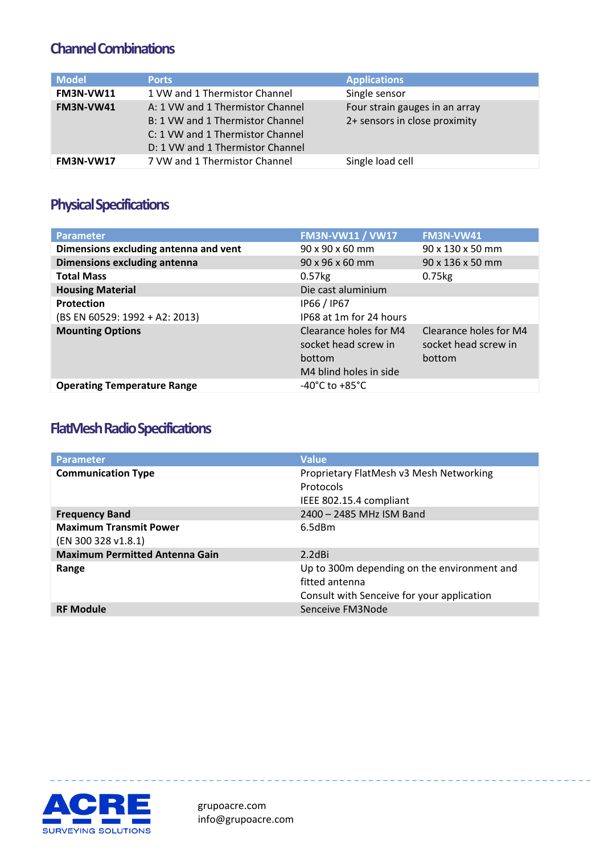#### **Channel Combinations**

| <b>Model</b>     | <b>Ports</b>                                                                                                                                 | <b>Applications</b>                                             |
|------------------|----------------------------------------------------------------------------------------------------------------------------------------------|-----------------------------------------------------------------|
| <b>FM3N-VW11</b> | 1 VW and 1 Thermistor Channel                                                                                                                | Single sensor                                                   |
| <b>FM3N-VW41</b> | A: 1 VW and 1 Thermistor Channel<br>B: 1 VW and 1 Thermistor Channel<br>C: 1 VW and 1 Thermistor Channel<br>D: 1 VW and 1 Thermistor Channel | Four strain gauges in an array<br>2+ sensors in close proximity |
| FM3N-VW17        | 7 VW and 1 Thermistor Channel                                                                                                                | Single load cell                                                |

### **Physical Specifications**

| <b>Parameter</b>                      | <b>FM3N-VW11 / VW17</b>                                                            | <b>FM3N-VW41</b>                                         |
|---------------------------------------|------------------------------------------------------------------------------------|----------------------------------------------------------|
| Dimensions excluding antenna and vent | $90 \times 90 \times 60$ mm                                                        | $90 \times 130 \times 50$ mm                             |
| Dimensions excluding antenna          | $90 \times 96 \times 60$ mm                                                        | $90 \times 136 \times 50$ mm                             |
| <b>Total Mass</b>                     | $0.57$ <sub>kg</sub>                                                               | $0.75$ <sub>kg</sub>                                     |
| <b>Housing Material</b>               | Die cast aluminium                                                                 |                                                          |
| Protection                            | IP66 / IP67                                                                        |                                                          |
| (BS EN 60529: 1992 + A2: 2013)        | IP68 at 1m for 24 hours                                                            |                                                          |
| <b>Mounting Options</b>               | Clearance holes for M4<br>socket head screw in<br>bottom<br>M4 blind holes in side | Clearance holes for M4<br>socket head screw in<br>bottom |
| <b>Operating Temperature Range</b>    | $-40^{\circ}$ C to $+85^{\circ}$ C                                                 |                                                          |

#### **FlatMesh Radio Specifications**

| <b>Parameter</b>                                     | <b>Value</b>                                                                                                |
|------------------------------------------------------|-------------------------------------------------------------------------------------------------------------|
| <b>Communication Type</b>                            | Proprietary FlatMesh v3 Mesh Networking<br>Protocols<br>IEEE 802.15.4 compliant                             |
| <b>Frequency Band</b>                                | 2400 - 2485 MHz ISM Band                                                                                    |
| <b>Maximum Transmit Power</b><br>(EN 300 328 v1.8.1) | 6.5dBm                                                                                                      |
| <b>Maximum Permitted Antenna Gain</b>                | $2.2$ dBi                                                                                                   |
| Range                                                | Up to 300m depending on the environment and<br>fitted antenna<br>Consult with Senceive for your application |
| <b>RF Module</b>                                     | Senceive FM3Node                                                                                            |



grupoacre.com info@grupoacre.com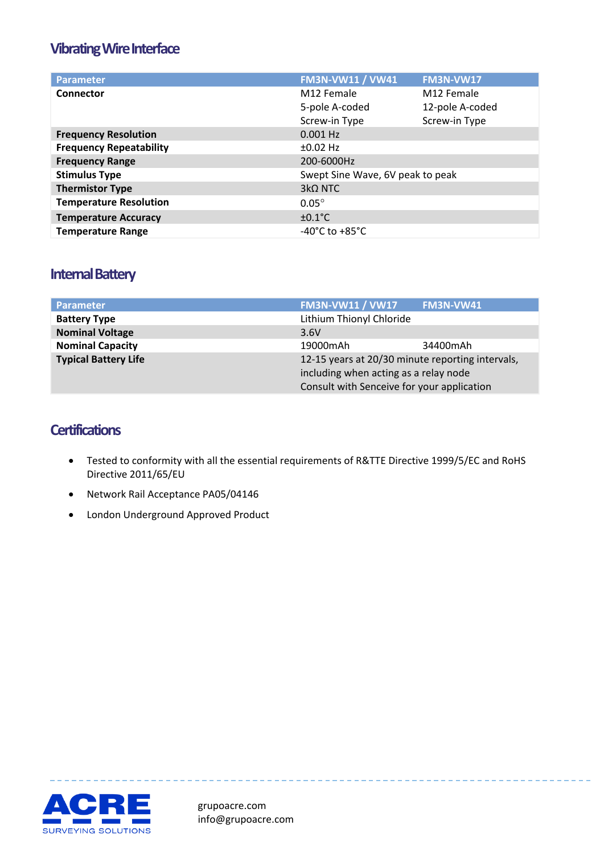#### **Vibrating Wire Interface**

| <b>Parameter</b>               | <b>FM3N-VW11 / VW41</b>            | <b>FM3N-VW17</b> |
|--------------------------------|------------------------------------|------------------|
| Connector                      | M12 Female                         | M12 Female       |
|                                | 5-pole A-coded                     | 12-pole A-coded  |
|                                | Screw-in Type                      | Screw-in Type    |
| <b>Frequency Resolution</b>    | $0.001$ Hz                         |                  |
| <b>Frequency Repeatability</b> | $±0.02$ Hz                         |                  |
| <b>Frequency Range</b>         | 200-6000Hz                         |                  |
| <b>Stimulus Type</b>           | Swept Sine Wave, 6V peak to peak   |                  |
| <b>Thermistor Type</b>         | $3k\Omega$ NTC                     |                  |
| <b>Temperature Resolution</b>  | $0.05^\circ$                       |                  |
| <b>Temperature Accuracy</b>    | $\pm 0.1^{\circ}$ C                |                  |
| <b>Temperature Range</b>       | $-40^{\circ}$ C to $+85^{\circ}$ C |                  |

#### **Internal Battery**

| <b>Parameter</b>            | <b>FM3N-VW11 / VW17</b>                                                                   | FM3N-VW41 |
|-----------------------------|-------------------------------------------------------------------------------------------|-----------|
| <b>Battery Type</b>         | Lithium Thionyl Chloride                                                                  |           |
| <b>Nominal Voltage</b>      | 3.6V                                                                                      |           |
| <b>Nominal Capacity</b>     | 19000mAh                                                                                  | 34400mAh  |
| <b>Typical Battery Life</b> | 12-15 years at 20/30 minute reporting intervals,<br>including when acting as a relay node |           |
|                             |                                                                                           |           |
|                             | Consult with Senceive for your application                                                |           |

#### **Certifications**

- Tested to conformity with all the essential requirements of R&TTE Directive 1999/5/EC and RoHS Directive 2011/65/EU
- Network Rail Acceptance PA05/04146
- London Underground Approved Product